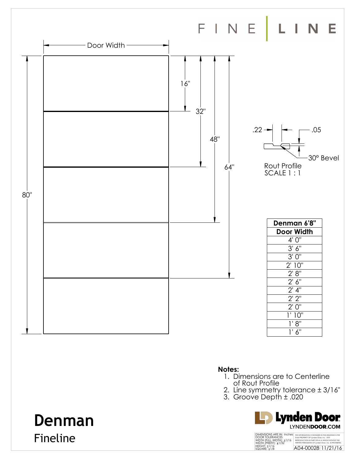

**Denman**

Fineline

#### **Notes:**

- 1. Dimensions are to Centerline of Rout Profile
- 
- 2. Line symmetry tolerance ± 3/16"
- 3. Groove Depth ± .020

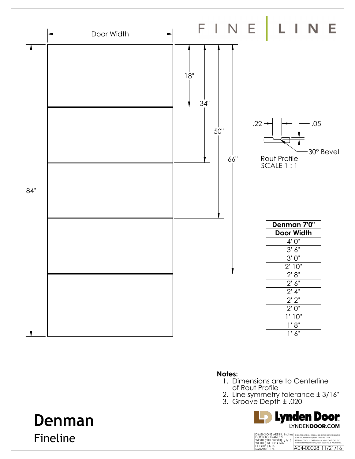

### **Notes:**

- 1. Dimensions are to Centerline of Rout Profile
- 2. Line symmetry tolerance ± 3/16"
- 3. Groove Depth ± .020



# **Denman** Fineline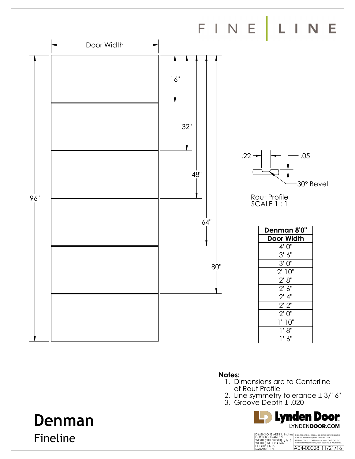

#### **Notes:**

- 1. Dimensions are to Centerline of Rout Profile
- 2. Line symmetry tolerance ± 3/16"
- 3. Groove Depth ± .020



# **Denman** Fineline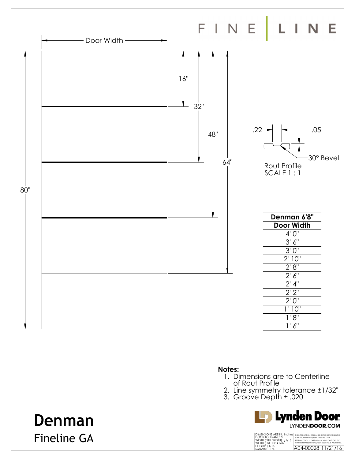

**Denman**

Fineline GA

#### **Notes:**

- 1. Dimensions are to Centerline
- of Rout Profile
- 2. Line symmetry tolerance ±1/32"
- 3. Groove Depth ± .020

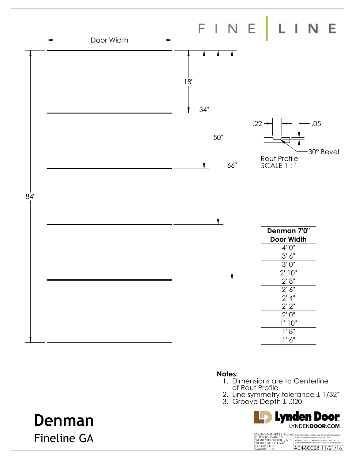

- 1. Dimensions are to Centerline of Rout Profile
- 2. Line symmetry tolerance ± 1/32"
- 3. Groove Depth ± .020



# **Denman** Fineline GA